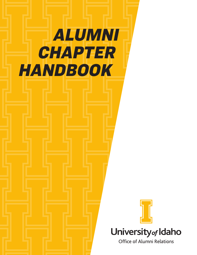# ALUMNI CHAPTER HANDBOOK



Office of Alumni Relations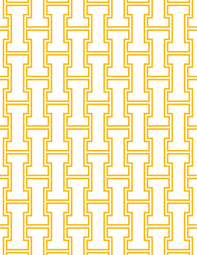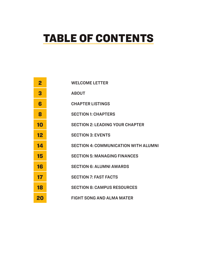# TABLE OF CONTENTS

| $\overline{\mathbf{2}}$ | <b>WELCOME LETTER</b>                       |
|-------------------------|---------------------------------------------|
| 3                       | <b>ABOUT</b>                                |
| 6                       | <b>CHAPTER LISTINGS</b>                     |
| 8                       | <b>SECTION 1: CHAPTERS</b>                  |
| 10                      | <b>SECTION 2: LEADING YOUR CHAPTER</b>      |
| $12 \,$                 | <b>SECTION 3: EVENTS</b>                    |
| 14                      | <b>SECTION 4: COMMUNICATION WITH ALUMNI</b> |
| 15                      | <b>SECTION 5: MANAGING FINANCES</b>         |
| 16                      | <b>SECTION 6: ALUMNI AWARDS</b>             |
| 17                      | <b>SECTION 7: FAST FACTS</b>                |
| 18                      | <b>SECTION 8: CAMPUS RESOURCES</b>          |
| 20                      | <b>FIGHT SONG AND ALMA MATER</b>            |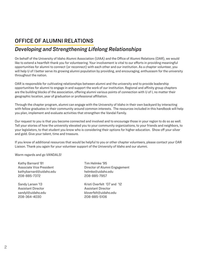# OFFICE OF ALUMNI RELATIONS

# *Developing and Strengthening Lifelong Relationships*

On behalf of the University of Idaho Alumni Association (UIAA) and the Office of Alumni Relations (OAR), we would like to extend a heartfelt thank you for volunteering. Your involvement is vital to our efforts in providing meaningful opportunities for alumni to connect (or reconnect) with each other and our institution. As a chapter volunteer, you will help U of I better serve its growing alumni population by providing, and encouraging, enthusiasm for the university throughout the nation.

OAR is responsible for cultivating relationships between alumni and the university and to provide leadership opportunities for alumni to engage in and support the work of our institution. Regional and affinity group chapters are the building blocks of the association, offering alumni various points of connection with U of I, no matter their geographic location, year of graduation or professional affiliation.

Through the chapter program, alumni can engage with the University of Idaho in their own backyard by interacting with fellow graduates in their community around common interests. The resources included in this handbook will help you plan, implement and evaluate activities that strengthen the Vandal Family.

Our request to you is that you become connected and involved and to encourage those in your region to do so as well. Tell your stories of how the university elevated you to your community organizations, to your friends and neighbors, to your legislators, to that student you know who is considering their options for higher education. Show off your silver and gold. Give your talent, time and treasure.

If you know of additional resources that would be helpful to you or other chapter volunteers, please contact your OAR Liaison. Thank you again for your volunteer support of the University of Idaho and our alumni.

Warm regards and go VANDALS!

Kathy Barnard '81 Tim Helmke '95 kathybarnard@uidaho.edu helmke@uidaho.edu 208-885-7372 208-885-7957

Assistant Director **Assistant Director** 208-364-4030 208-885-5106

Associate Vice President **Director of Alumni Engagement** 

Sandy Larsen '13 Kristi Overfelt '07 and '12 sandyl@uidaho.edu kloverfelt@uidaho.edu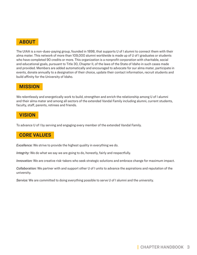## **ABOUT**

The UIAA is a non-dues-paying group, founded in 1898, that supports U of I alumni to connect them with their alma mater. This network of more than 109,000 alumni worldwide is made up of U of I graduates or students who have completed 90 credits or more. This organization is a nonprofit corporation with charitable, social and educational goals, pursuant to Title 30, Chapter II, of the laws of the State of Idaho in such cases made and provided. Members are added automatically and encouraged to advocate for our alma mater, participate in events, donate annually to a designation of their choice, update their contact information, recruit students and build affinity for the University of Idaho.

## **MISSION**

We relentlessly and energetically work to build, strengthen and enrich the relationship among U of I alumni and their alma mater and among all sectors of the extended Vandal Family including alumni, current students, faculty, staff, parents, retirees and friends.

## **VISION**

To advance U of I by serving and engaging every member of the extended Vandal Family.

## **CORE VALUES**

*Excellence:* We strive to provide the highest quality in everything we do.

*Integrity:* We do what we say we are going to do, honestly, fairly and respectfully.

*Innovation:* We are creative risk-takers who seek strategic solutions and embrace change for maximum impact.

*Collaboration:* We partner with and support other U of I units to advance the aspirations and reputation of the university.

*Service:* We are committed to doing everything possible to serve U of I alumni and the university.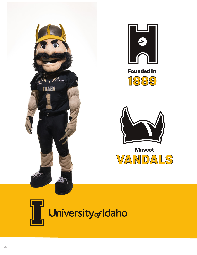



# Founded in 1889





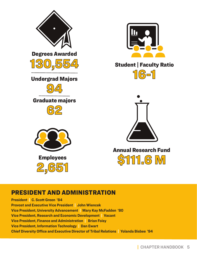

# PRESIDENT AND ADMINISTRATION

**President** | **C. Scott Green '84 Provost and Executive Vice President** | **John Wiencek Vice President, University Advancement** | **Mary Kay McFadden '80 Vice President, Research and Economic Development** | **Vacant Vice President, Finance and Administration** | **Brian Foisy Vice President, Information Technology** | **Dan Ewart Chief Diversity Office and Executive Director of Tribal Relations | Yolanda Bisbee '94**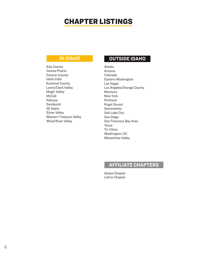# CHAPTER LISTINGS

#### **IN IDAHO**

Ada County Camas Prairie Canyon County Idaho Falls Kootenai County Lewis/Clark Valley Magic Valley McCall Palouse Sandpoint SE Idaho Silver Valley Western Treasure Valley Wood River Valley

## **OUTSIDE IDAHO**

Alaska Arizona Colorado Eastern Washington Las Vegas Los Angeles/Orange County Montana New York Portland Puget Sound Sacramento Salt Lake City San Diego San Francisco Bay Area Texas Tri-Cities Washington, DC Wenatchee Valley

## **AFFILIATE CHAPTERS**

Global Chapter Latinx Chapter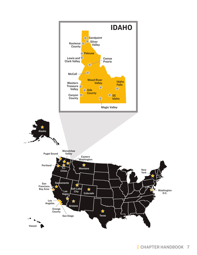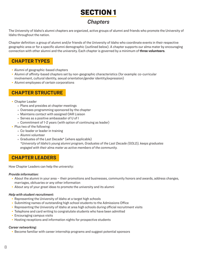# *Chapters*

The University of Idaho's alumni chapters are organized, active groups of alumni and friends who promote the University of Idaho throughout the nation.

Chapter definition: a group of alumni and/or friends of the University of Idaho who coordinate events in their respective geographic area or for a specific alumni demographic (outlined below). A chapter supports our alma mater by encouraging connection with other alumni and the university. Each chapter is governed by a minimum of **three volunteers**.

## **CHAPTER TYPES**

- Alumni of geographic-based chapters
- <sup>n</sup> Alumni of affinity-based chapters set by non-geographic characteristics (for example: co-curricular involvement, cultural identity, sexual orientation/gender identity/expression)
- **Alumni employees of certain corporations**

## **CHAPTER STRUCTURE**

- **Chapter Leader** 
	- Delans and presides at chapter meetings
	- **D** Oversees programming sponsored by the chapter
	- **Naintains contact with assigned OAR Liaison**
	- $\blacksquare$  Serves as a positive ambassador of U of I
	- **Commitment of 1-2 years (with option of continuing as leader)**
- Plus two of the following:
	- **Co-leader or leader in training**
	- Alumni volunteer
	- **Example 2** Graduates of the Last Decade\* (where applicable)

 *\*University of Idaho's young alumni program, Graduates of the Last Decade (GOLD), keeps graduates engaged with their alma mater as active members of the community.* 

## **CHAPTER LEADERS**

How Chapter Leaders can help the university:

#### *Provide information:*

- <sup>n</sup> About the alumni in your area their promotions and businesses, community honors and awards, address changes, marriages, obituaries or any other information
- n About any of your great ideas to promote the university and its alumni

#### *Help with student recruitment:*

- **Representing the University of Idaho at a target high schools**
- <sup>n</sup> Submitting names of outstanding high school students to the Admissions Office
- Representing the University of Idaho at area high schools during official recruitment visits
- n Telephone and card writing to congratulate students who have been admitted
- **Encouraging campus visits**
- Hosting receptions and information nights for prospective students

#### *Career networking:*

**- Become familiar with career internship programs and suggest potential sponsors**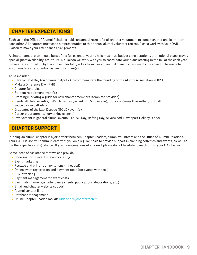## **CHAPTER EXPECTATIONS**

Each year, the Office of Alumni Relations holds an annual retreat for all chapter volunteers to come together and learn from each other. All chapters must send a representative to this annual alumni volunteer retreat. Please work with your OAR Liaison to make your attendance arrangements.

A chapter annual plan should be set for a full calendar year to help maximize budget considerations, promotional plans, travel, special guest availability, etc. Your OAR Liaison will work with you to coordinate your plans starting in the fall of the each year to have dates firmed up by December. Flexibility is key to success of annual plans – adjustments may need to be made to accommodate any potential last-minute changes.

To be included:

- <sup>n</sup> Silver & Gold Day (on or around April 7) to commemorate the founding of the Alumni Association in 1898
- Make a Difference Day (Fall)
- **Chapter fundraiser**
- $\blacksquare$  Student recruitment event(s)
- Creating/Updating a guide for new chapter members (template provided)
- Vandal Athletic event(s): Watch parties (reliant on TV coverage), in-locale games (basketball, football, soccer, volleyball, etc.)
- Graduates of the Last Decade  $(GOLD)$  event $(s)$
- Career programming/networking event(s)
- <sup>n</sup> Involvement in general alumni events i.e. Ski Day, Rafting Day, Silverwood, Davenport Holiday Dinner

## **CHAPTER SUPPORT**

Running an alumni chapter is a joint effort between Chapter Leaders, alumni volunteers and the Office of Alumni Relations. Your OAR Liaison will communicate with you on a regular basis to provide support in planning activities and events, as well as to offer expertise and guidance. If you have questions of any kind, please do not hesitate to reach out to your OAR Liaison.

Some ideas of assistance that we can provide:

- Coordination of event site and catering
- **Event marketing**
- Postage and printing of invitations (if needed)
- Online event registration and payment tools (for events with fees)
- $RSVP$  tracking
- Payment management for event costs
- <sup>n</sup> Event kits (name tags, attendance sheets, publications, decorations, etc.)
- $\blacksquare$  Email and chapter website support
- **Alumni contact lists**
- **Database management**
- **Online Chapter Leader Toolkit: [uidaho.edu/chaptertoolkit](http://www.uidaho.edu/chaptertoolkit)**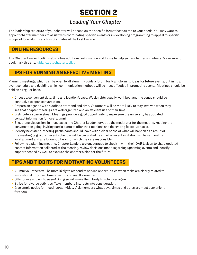# *Leading Your Chapter*

The leadership structure of your chapter will depend on the specific format best suited to your needs. You may want to appoint chapter members to assist with coordinating specific events or in developing programming to appeal to specific groups of local alumni such as Graduates of the Last Decade.

# **ONLINE RESOURCES**

The Chapter Leader Toolkit website has additional information and forms to help you as chapter volunteers. Make sure to bookmark this site: [uidaho.edu/chaptertoolkit](http://www.uidaho.edu/chaptertoolkit).

# **TIPS FOR RUNNING AN EFFECTIVE MEETING**

Planning meetings, which can be open to all alumni, provide a forum for brainstorming ideas for future events, outlining an event schedule and deciding which communication methods will be most effective in promoting events. Meetings should be held on a regular basis.

- <sup>n</sup> Choose a convenient date, time and location/space. Weeknights usually work best and the venue should be conducive to open conversation.
- Prepare an agenda with a defined start and end time. Volunteers will be more likely to stay involved when they see that chapter meetings are well organized and an efficient use of their time.
- Distribute a sign-in sheet. Meetings provide a good opportunity to make sure the university has updated contact information for local alumni.
- <sup>n</sup> Encourage discussion. In most cases, the Chapter Leader serves as the moderator for the meeting, keeping the conversation going, inviting participants to offer their opinions and delegating follow-up tasks.
- <sup>n</sup> Identify next steps. Meeting participants should leave with a clear sense of what will happen as a result of the meeting (e.g. a draft event schedule will be circulated by email, an event invitation will be sent out to local alumni) and any follow-up tasks for which they are responsible.
- Following a planning meeting, Chapter Leaders are encouraged to check in with their OAR Liaison to share updated contact information collected at the meeting, review decisions made regarding upcoming events and identify support needed by OAR to execute the chapter's plan for the future.

# **TIPS AND TIDBITS FOR MOTIVATING VOLUNTEERS**

- <sup>n</sup> Alumni volunteers will be more likely to respond to service opportunities when tasks are clearly related to institutional priorities, time-specific and results-oriented.
- <sup>n</sup> Offer praise and enthusiasm! Doing so will make them likely to volunteer again.
- **Strive for diverse activities. Take members interests into consideration.**
- <sup>n</sup> Give ample notice for meetings/activities. Ask members what days, times and dates are most convenient for them.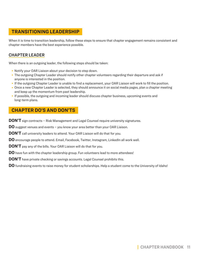## **TRANSITIONING LEADERSHIP**

When it is time to transition leadership, follow these steps to ensure that chapter engagement remains consistent and chapter members have the best experience possible.

#### CHAPTER LEADER

When there is an outgoing leader, the following steps should be taken:

- **Notify your OAR Liaison about your decision to step down.**
- n The outgoing Chapter Leader should notify other chapter volunteers regarding their departure and ask if anyone is interested in the position.
- <sup>n</sup> If the outgoing Chapter Leader is unable to find a replacement, your OAR Liaison will work to fill the position.
- <sup>n</sup> Once a new Chapter Leader is selected, they should announce it on social media pages, plan a chapter meeting and keep up the momentum from past leadership.
- <sup>n</sup> If possible, the outgoing and incoming leader should discuss chapter business, upcoming events and long-term plans.

## **CHAPTER DO'S AND DON'TS**

**DON'T** sign contracts – Risk Management and Legal Counsel require university signatures.

**DO** suggest venues and events – you know your area better than your OAR Liaison.

**DON'T** call university leaders to attend. Your OAR Liaison will do that for you.

**DO** encourage people to attend. Email, Facebook, Twitter, Instagram, LinkedIn all work well.

**DON'T** pay any of the bills. Your OAR Liaison will do that for you.

**DO** have fun with the chapter leadership group. Fun volunteers lead to more attendees!

**DON'T** have private checking or savings accounts. Legal Counsel prohibits this.

**DO** fundraising events to raise money for student scholarships. Help a student come to the University of Idaho!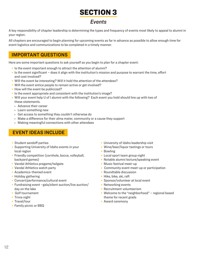## *Events*

A key responsibility of chapter leadership is determining the types and frequency of events most likely to appeal to alumni in your region.

All chapters are encouraged to begin planning for upcoming events as far in advance as possible to allow enough time for event logistics and communications to be completed in a timely manner.

# **IMPORTANT QUESTIONS**

Here are some important questions to ask yourself as you begin to plan for a chapter event:

- If Is the event important enough to attract the attention of alumni?
- <sup>n</sup> Is the event significant does it align with the institution's mission and purpose to warrant the time, effort and cost involved?
- Will the event be interesting? Will it hold the attention of the attendees?
- Will the event entice people to remain active or get involved?
- How will the event be publicized?
- Is the event appropriate and consistent with the institution's image?
- <sup>n</sup> Will your event help U of I alumni with the following? Each event you hold should line up with two of these statements.
	- **Advance their career**
	- $\blacksquare$  Learn something new
	- <sup>n</sup> Get access to something they couldn't otherwise do
	- $\blacksquare$  Make a difference for their alma mater, community or a cause they support
	- Making meaningful connections with other attendees

## **EVENT IDEAS INCLUDE**

- **Student sendoff parties**
- **Supporting University of Idaho events in your** local region
- **Fiendly competition (cornhole, bocce, volleyball,** backyard games)
- Vandal Athletics pregame/tailgate
- Vandal Athletics watch party
- **Academics-themed event**
- Holiday gathering
- <sup>n</sup> Concert/performance/cultural event
- Fundraising event –gala/silent auction/live auction/ day on the lake
- **Golf tournament**
- $\blacksquare$  Trivia night
- **Travel/tour**
- **Family picnic or BBQ**
- **University of Idaho leadership visit**
- Wine/beer/liquor tastings or tours
- **Bowling**
- **Example 2** Local sport team group night
- Notable alumni lecture/speaking event
- Music festival meet-up
- **-** Community event meet-up or participation
- Roundtable discussion
- **Hike, bike, ski, raft**
- **B** Sponsor/volunteer at local event
- Networking events
- Recruitment volunteerism
- $\blacksquare$  Welcome to the "neighborhood" regional based theme for recent grads
- **Award ceremony**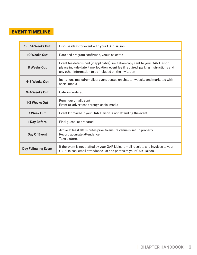# **EVENT TIMELINE**

| 12 - 14 Weeks Out          | Discuss ideas for event with your OAR Liaison                                                                                                                                                                                      |
|----------------------------|------------------------------------------------------------------------------------------------------------------------------------------------------------------------------------------------------------------------------------|
| 10 Weeks Out               | Date and program confirmed, venue selected                                                                                                                                                                                         |
| 8 Weeks Out                | Event fee determined (if applicable); invitation copy sent to your OAR Liaison -<br>please include date, time, location, event fee if required, parking instructions and<br>any other information to be included on the invitation |
| 4-5 Weeks Out              | Invitations mailed/emailed; event posted on chapter website and marketed with<br>social media                                                                                                                                      |
| 3-4 Weeks Out              | Catering ordered                                                                                                                                                                                                                   |
| 1-3 Weeks Out              | Reminder emails sent<br>Event re-advertised through social media                                                                                                                                                                   |
| 1 Week Out                 | Event kit mailed if your OAR Liaison is not attending the event                                                                                                                                                                    |
| 1 Day Before               | Final guest list prepared                                                                                                                                                                                                          |
| Day Of Event               | Arrive at least 60 minutes prior to ensure venue is set up properly<br>Record accurate attendance<br>Take pictures                                                                                                                 |
| <b>Day Following Event</b> | If the event is not staffed by your OAR Liaison, mail receipts and invoices to your<br>OAR Liaison; email attendance list and photos to your OAR Liaison.                                                                          |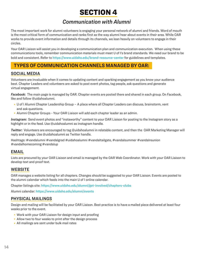# *Communication with Alumni*

The most important work for alumni volunteers is engaging your personal network of alumni and friends. Word of mouth is the most critical form of communication and ranks first as the way alumni hear about events in their area. While OAR works to provide event information and details through its channels, we lean heavily on volunteers to engage in their circles.

Your OAR Liaison will assist you in developing a communication plan and communication execution. When using these communications tools, remember communication materials must meet U of I's brand standards. We need our brand to be bold and consistent. Refer to [https://www.uidaho.edu/brand-resource-center](http://www.uidaho.edu/brand-resource-center) for guidelines and templates.

# **TYPES OF COMMUNICATION CHANNELS MANAGED BY OAR:**

## SOCIAL MEDIA

Volunteers are invaluable when it comes to updating content and sparking engagement as you know your audience best. Chapter Leaders and volunteers are asked to post event photos, tag people, ask questions and generate virtual engagement.

*Facebook:* The main page is managed by OAR. Chapter events are posted there and shared in each group. On Facebook, like and follow @uidahoalumni.

- <sup>n</sup> U of I Alumni Chapter Leadership Group A place where all Chapter Leaders can discuss, brainstorm, vent and ask questions.
- <sup>n</sup> Alumni Chapter Groups Your OAR Liaison will add each chapter leader as an admin.

*Instagram:* Send event photos and "instaworthy" content to your OAR Liaison for posting to the Instagram story as a highlight or in the feed. Use @uidahoalumni as Instagram handle.

*Twitter:* Volunteers are encouraged to tag @uidahoalumni in relatable content, and then the OAR Marketing Manager will reply and engage. Use @uidahoalumni as Twitter handle.

Hashtags: #vandalumni #vandalgrad #uidahoalumni #vandaltailgate, #vandalsummer #vandalreunion #vandalhomecoming #vandalup

#### EMAIL

Lists are procured by your OAR Liaison and email is managed by the OAR Web Coordinator. Work with your OAR Liaison to develop text and proof text.

#### **WEBSITE**

OAR manages a website listing for all chapters. Changes should be suggested to your OAR Liaison. Events are posted to the alumni calendar which feeds into the main U of I online calendar.

Chapter listings site: [https://www.uidaho.edu/alumni/get-involved/chapters-clubs](http://www.uidaho.edu/alumni/get-involved/chapters-clubs)

Alumni calendar: [https://www.uidaho.edu/alumni/events](http://www.uidaho.edu/alumni/events)

#### PHYSICAL MAILINGS

Design and mailing will be facilitated by your OAR Liaison. Best practice is to have a mailed piece delivered at least four weeks prior to the event.

- **Nork with your OAR Liaison for design input and proofing**
- **-** Allow two to four weeks to print after the design process
- All mailings are sent under bulk mail rates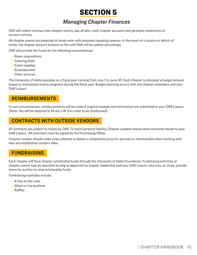# *Managing Chapter Finances*

OAR will collect revenue from chapter events, pay all bills, track chapter accounts and generate statements of account activity.

All chapter events are expected to break-even with expenses equaling revenue. In the event of a surplus or deficit of funds, the chapter account balance on file with OAR will be update accordingly.

OAR will provide the funds for the following circumstances:

- Room reservations
- **-** Catering/food
- $\blacksquare$  Event supplies
- **F**ntertainment
- **D** Other services

The University of Idaho operates on a fiscal year running from July 1 to June 30. Each chapter is allocated a budget amount based on anticipated events programs during the fiscal year. Budget planning occurs with the chapter volunteers and your OAR Liaison.

#### **REIMBURSEMENTS**

In rare circumstances, reimbursements will be made if original receipts and information are submitted to your OAR Liaison. (Note: You will be required to fill out a W-9 in order to be reimbursed).

## **CONTRACTS WITH OUTSIDE VENDORS**

All contracts are subject to review by OAR. To avoid personal liability, Chapter Leaders should send contracts issued to your OAR Liaison. All contracts must be signed by the Purchasing Office.

Chapter Leaders should make every attempt to obtain a competitive price for services or merchandise when working with new and established vendors alike.

## **FUNDRAISING**

Each chapter will have chapter scholarship funds through the University of Idaho Foundation. Fundraising activities at chapter events may be operated as long as approved by chapter leadership and your OAR Liaison, who may, at times, provide items for auction to raise scholarship funds.

Fundraising examples include:

- **A Day on the Lake**
- Silent or live auctions
- $\blacksquare$  Raffles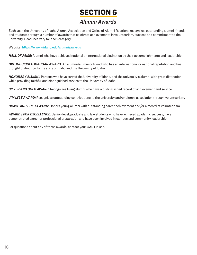# *Alumni Awards*

Each year, the University of Idaho Alumni Association and Office of Alumni Relations recognizes outstanding alumni, friends and students through a number of awards that celebrate achievements in volunteerism, success and commitment to the university. Deadlines vary for each category.

Website: [https://www.uidaho.edu/alumni/awards](http://www.uidaho.edu/alumni/awards)

*HALL OF FAME:* Alumni who have achieved national or international distinction by their accomplishments and leadership.

*DISTINGUISHED IDAHOAN AWARD:* An alumna/alumni or friend who has an international or national reputation and has brought distinction to the state of Idaho and the University of Idaho.

*HONORARY ALUMNI:* Persons who have served the University of Idaho, and the university's alumni with great distinction while providing faithful and distinguished service to the University of Idaho.

*SILVER AND GOLD AWARD:* Recognizes living alumni who have a distinguished record of achievement and service.

*JIM LYLE AWARD:* Recognizes outstanding contributions to the university and/or alumni association through volunteerism.

*BRAVE AND BOLD AWARD:* Honors young alumni with outstanding career achievement and/or a record of volunteerism.

*AWARDS FOR EXCELLENCE:* Senior-level, graduate and law students who have achieved academic success, have demonstrated career or professional preparation and have been involved in campus and community leadership.

For questions about any of these awards, contact your OAR Liaison.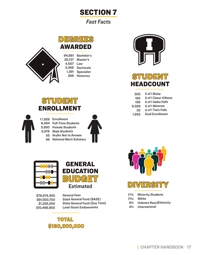*Fast Facts*



# **DEGREES** AWARDED

94,881 Bachelor's 26,137 Master's 4,507 Law 3,369 Doctorate 1,391 Specialist 269 Honorary

# **STUDENT** ENROLLMENT

- 11,926 Enrollment 8,494 Full-Time Students 5,950 Female Students
	- 5,976 Male Students
		-
		- 55 Prefer Not to Answer 56 National Merit Scholars







\$76,974,300 \$91,500,700 \$1,226,200 \$10,498,800 General Fees State General Fund (BASE) State General Fund (One Time) Land-Grant Endowments





# STUDENT HEADCOUNT

| 305   | U of I Boise           |
|-------|------------------------|
| 160   | U of I Coeur d'Alene   |
| 158   | U of I Idaho Falls     |
| 9.328 | U of I Moscow          |
| 22    | U of I Twin Falls      |
| 1.953 | <b>Dual Enrollment</b> |
|       |                        |





- 17% Minority Students
- 71% White
- 9% Unkown Race|Ethnicity
- 4% International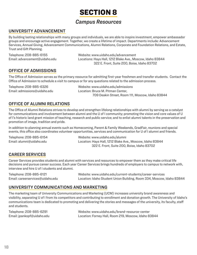## *Campus Resources*

#### UNIVERSITY ADVANCEMENT

By building lasting relationships with many groups and individuals, we are able to inspire investment, empower ambassador groups and encourage active engagement. Together, we create a lifetime of impact. Departments include: Advancement Services, Annual Giving, Advancement Communications, Alumni Relations, Corporate and Foundation Relations, and Estate, Trust and Gift Planning.

Telephone: 208-885-6155 Website: www.uidaho.edu/advancement Email: advancement@uidaho.edu Locations: Hays Hall, 1212 Blake Ave., Moscow, Idaho 83844 322 E. Front, Suite 200, Boise, Idaho 83702

#### OFFICE OF ADMISSIONS

The Office of Admission serves as the primary resource for admitting first-year freshmen and transfer students. Contact the Office of Admission to schedule a visit to campus or for any questions related to the admission process.

Telephone: 208-885-6326 Website: www.uidaho.edu/admissions Email: admissions@uidaho.edu Location: Bruce M. Pitman Center, 709 Deakin Street, Room 111, Moscow, Idaho 83844

## OFFICE OF ALUMNI RELATIONS

The Office of Alumni Relations strives to develop and strengthen lifelong relationships with alumni by serving as a catalyst for communications and involvement between alumni and the U of I community; promoting the vision and core values of U of I's historic land grant mission of teaching, research and public service; and to enlist alumni talents in the preservation and promotion of image, tradition and pride.

In addition to planning annual events such as Homecoming, Parent & Family Weekends, GradFair, reunions and special events, this office also coordinates volunteer opportunities, services and communication for U of I alumni and friends.

Telephone: 208-885-6154 Website: www.uidaho.edu/alumni Email: alumni@uidaho.edu Location: Hays Hall, 1212 Blake Ave., Moscow, Idaho 83844 322 E. Front, Suite 200, Boise, Idaho 83702

#### CAREER SERVICES

Career Services provides students and alumni with services and resources to empower them as they make critical life decisions and pursue career success. Each year Career Services brings hundreds of employers to campus to network with, interview and hire U of I students and alumni.

Telephone: 208-885-6121 Website: www.uidaho.edu/current-students/career-services Email: careerservices@uidaho.edu Location: Idaho Student Union Building, Room 334, Moscow, Idaho 83844

#### UNIVERSITY COMMUNICATIONS AND MARKETING

The marketing team of University Communications and Marketing (UCM) increases university brand awareness and visibility, separating U of I from its competitors and contributing to enrollment and donation growth. The University of Idaho's communications team is dedicated to promoting and delivering the stories and messages of the university, its faculty, staff and students.

Telephone: 208-885-6291 Website: www.uidaho.edu/brand-resource-center Email: jpankopf@uidaho.edu Location: Forney Hall, Room 219, Moscow, Idaho 83844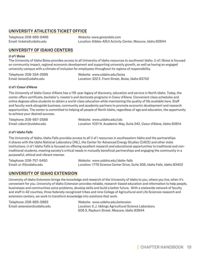## UNIVERSITY ATHLETICS TICKET OFFICE

Telephone: 208-885-6466 Website: www.govandals.com Email: tickets@uidaho.edu Location: Kibbie-ASUI Activity Center, Moscow, Idaho 83844

#### UNIVERSITY OF IDAHO CENTERS

#### *U of I Boise*

The University of Idaho Boise provides access to all University of Idaho resources to southwest Idaho. U of I Boise is focused on community impact, regional economic development and supporting university growth, as well as having an engaged university campus with a climate of inclusion for employees throughout its regions of responsibility.

| Telephone: 208-334-2999 | Website: www.uidaho.edu/boise                     |
|-------------------------|---------------------------------------------------|
| Email: boise@uidaho.edu | Location: 322 E. Front Street, Boise, Idaho 83702 |

#### *U of I Coeur d'Alene*

The University of Idaho Coeur d'Alene has a 118-year legacy of discovery, education and service in North Idaho. Today, the center offers certificate, bachelor's, master's and doctorate programs in Coeur d'Alene. Convenient class schedules and online degrees allow students to obtain a world-class education while maintaining the quality of life available here. Staff and faculty work alongside business, community and academic partners to promote economic development and research opportunities. The center is committed to helping all people of North Idaho, regardless of age and education, the opportunity to achieve your desired success.

| Telephone: 208-667-2588  | Website: www.uidaho.edu/cda                                           |
|--------------------------|-----------------------------------------------------------------------|
| Email: cdactr@uidaho.edu | Location: 1031 N. Academic Way, Suite 242, Coeur d'Alene, Idaho 83814 |

#### *U of I Idaho Falls*

The University of Idaho, Idaho Falls provides access to all U of I resources in southeastern Idaho and the partnerships it shares with the Idaho National Laboratory (INL), the Center for Advanced Energy Studies (CAES) and other state institutions. U of I Idaho Falls is focused on offering excellent research and educational opportunities to traditional and nontraditional students, meeting society's critical needs in mutually beneficial partnerships and engaging the community in a purposeful, ethical and vibrant manner.

Telephone: 208-757-5450 Website: www.uidaho.edu/idaho-falls Email: ui-if@uidaho.edu Location: 1776 Science Center Drive, Suite 306, Idaho Falls, Idaho 83402

#### UNIVERSITY OF IDAHO EXTENSION

University of Idaho Extension brings the knowledge and research of the University of Idaho to you, where you live, when it's convenient for you. University of Idaho Extension provides reliable, research-based education and information to help people, businesses and communities solve problems, develop skills and build a better future. With a statewide network of faculty and staff in 42 counties, three federally recognized tribes and nine College of Agricultural and Life Sciences research and extension centers, we work to transform knowledge into solutions that work.

| Telephone: 208-885-5883     |  |
|-----------------------------|--|
| Email: extension@uidaho.edu |  |

Website: www.uidaho.edu/extension Location: E.J. Iddings Agricultural Science Laboratory 606 S. Rayburn Street, Moscow, Idaho 83844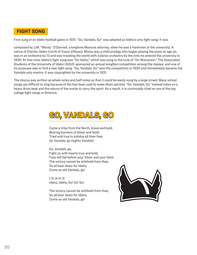

First sung at an Idaho football game in 1931, "Go, Vandals, Go" was adopted as Idaho's only fight song. It was

composed by J.M. "Morey" O'Donnell, a longtime Moscow attorney, when he was a freshman at the university. A native of Granite, Idaho (north of Coeur d'Alene), Morey was a child prodigy who began playing the piano at age six, was in an orchestra by 13 and was traveling the world with a dance orchestra by the time he entered the university in 1930. At that time, Idaho's fight song was "On Idaho," which was sung to the tune of "On Wisconsin." The Associated Students of the University of Idaho (ASUI) sponsored an annual songfest competition among the classes, and one of its purposes was to find a new fight song. "Go, Vandals, Go" won the competition in 1930 and immediately became the Vandals only mantra. It was copyrighted by the university in 1931.

The chorus was written as whole notes and half notes so that it could be easily sung by a large crowd. Many school songs are difficult to sing because of the fast beat used to make them spirited. "Go, Vandals, Go" instead relies on a heavy drum beat and the nature of the words to carry the spirit. As a result, it is continually cited as one of the top college fight songs in America.



Came a tribe from the North, brave and bold, Bearing banners of Silver and Gold; Tried and true to subdue all their foes Go Vandals, go mighty Vandals!

Go, Vandals, go, Fight on with hearts true and bold, Foes will fall before your Silver and your Gold, The victory cannot be withheld from thee, So all bear down for Idaho, Come on old Vandals, go!

I-D-A-H-O Idaho, Idaho, Go! Go! Go!

The victory cannot be withheld from thee, So all bear down for Idaho, Come on old Vandals, go!

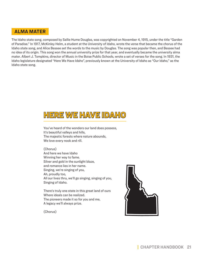

The Idaho state song, composed by Sallie Hume Douglas, was copyrighted on November 4, 1915, under the title "Garden of Paradise." In 1917, McKinley Helm, a student at the University of Idaho, wrote the verse that became the chorus of the Idaho state song, and Alice Bessee set the words to the music by Douglas. The song was popular then, and Bessee had no idea of its origin. This song won the annual university prize for that year, and eventually became the university alma mater. Albert J. Tompkins, director of Music in the Boise Public Schools, wrote a set of verses for the song. In 1931, the Idaho legislature designated "Here We Have Idaho", previously known at the University of Idaho as "Our Idaho," as the Idaho state song.

# **HERE WE HAVE IDAHO**

You've heard of the wonders our land does possess, It's beautiful valleys and hills, The majestic forests where nature abounds, We love every nook and rill.

(Chorus)

And here we have Idaho Winning her way to fame. Silver and gold in the sunlight blaze, and romance lies in her name. Singing, we're singing of you, Ah, proudly too, All our lives thru, we'll go singing, singing of you, Singing of Idaho.

There's truly one state in this great land of ours Where ideals can be realized. The pioneers made it so for you and me, A legacy we'll always prize.



(Chorus)